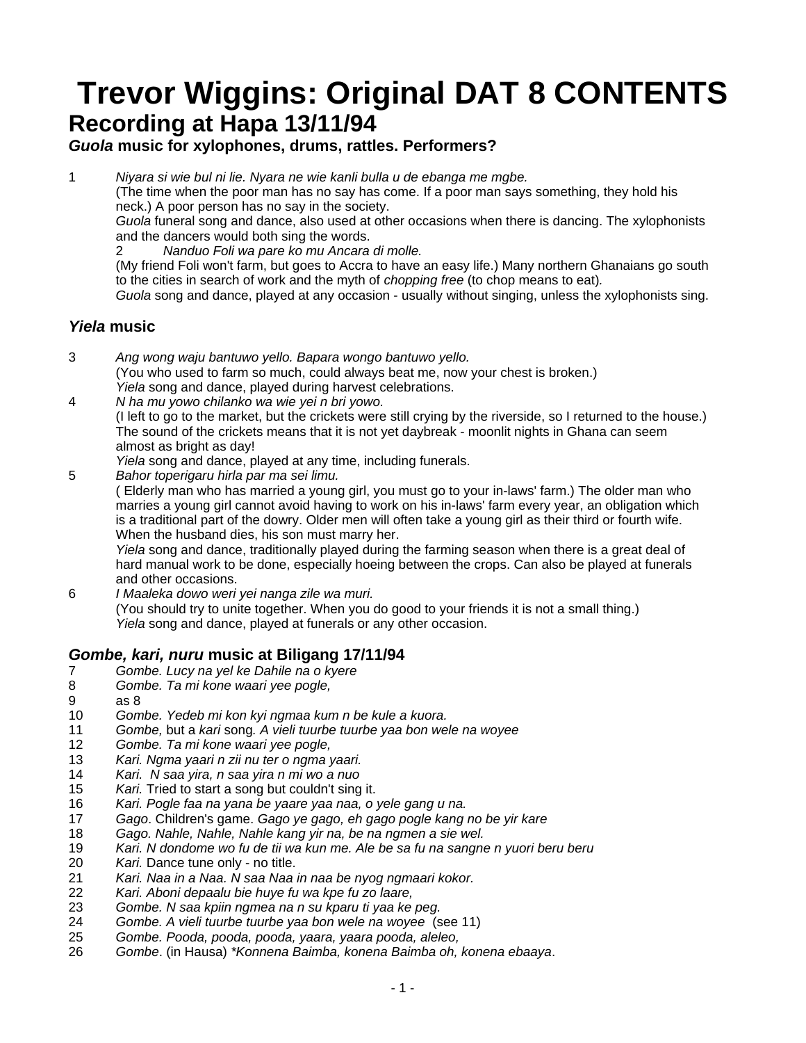## **Trevor Wiggins: Original DAT 8 CONTENTS Recording at Hapa 13/11/94**

## *Guola* **music for xylophones, drums, rattles. Performers?**

1 *Niyara si wie bul ni lie. Nyara ne wie kanli bulla u de ebanga me mgbe.* 

 (The time when the poor man has no say has come. If a poor man says something, they hold his neck.) A poor person has no say in the society.

*Guola* funeral song and dance, also used at other occasions when there is dancing. The xylophonists and the dancers would both sing the words.

2 *Nanduo Foli wa pare ko mu Ancara di molle.* 

 (My friend Foli won't farm, but goes to Accra to have an easy life.) Many northern Ghanaians go south to the cities in search of work and the myth of *chopping free* (to chop means to eat)*.* 

 *Guola* song and dance, played at any occasion - usually without singing, unless the xylophonists sing.

## *Yiela* **music**

- 3 *Ang wong waju bantuwo yello. Bapara wongo bantuwo yello.*  (You who used to farm so much, could always beat me, now your chest is broken.) *Yiela* song and dance, played during harvest celebrations.
- 4 *N ha mu yowo chilanko wa wie yei n bri yowo.*

 (I left to go to the market, but the crickets were still crying by the riverside, so I returned to the house.) The sound of the crickets means that it is not yet daybreak - moonlit nights in Ghana can seem almost as bright as day!

*Yiela* song and dance, played at any time, including funerals.

5 *Bahor toperigaru hirla par ma sei limu.* 

 ( Elderly man who has married a young girl, you must go to your in-laws' farm.) The older man who marries a young girl cannot avoid having to work on his in-laws' farm every year, an obligation which is a traditional part of the dowry. Older men will often take a young girl as their third or fourth wife. When the husband dies, his son must marry her.

*Yiela* song and dance, traditionally played during the farming season when there is a great deal of hard manual work to be done, especially hoeing between the crops. Can also be played at funerals and other occasions.

6 *I Maaleka dowo weri yei nanga zile wa muri.*  (You should try to unite together. When you do good to your friends it is not a small thing.) *Yiela* song and dance, played at funerals or any other occasion.

## *Gombe, kari, nuru* **music at Biligang 17/11/94**

- 7 *Gombe. Lucy na yel ke Dahile na o kyere*
- 8 *Gombe. Ta mi kone waari yee pogle,*
- 9 as 8
- 10 *Gombe. Yedeb mi kon kyi ngmaa kum n be kule a kuora.*
- 11 *Gombe,* but a *kari* song*. A vieli tuurbe tuurbe yaa bon wele na woyee*
- 12 *Gombe. Ta mi kone waari yee pogle,*
- 13 *Kari. Ngma yaari n zii nu ter o ngma yaari.*
- 14 *Kari. N saa yira, n saa yira n mi wo a nuo*
- 15 *Kari.* Tried to start a song but couldn't sing it.
- 16 *Kari. Pogle faa na yana be yaare yaa naa, o yele gang u na.*
- 17 *Gago*. Children's game. *Gago ye gago, eh gago pogle kang no be yir kare*
- 18 *Gago. Nahle, Nahle, Nahle kang yir na, be na ngmen a sie wel.*
- 19 *Kari. N dondome wo fu de tii wa kun me. Ale be sa fu na sangne n yuori beru beru*
- 20 *Kari.* Dance tune only no title.
- 21 *Kari. Naa in a Naa. N saa Naa in naa be nyog ngmaari kokor.*
- 22 *Kari. Aboni depaalu bie huye fu wa kpe fu zo laare,*
- 23 *Gombe. N saa kpiin ngmea na n su kparu ti yaa ke peg.*
- 24 *Gombe. A vieli tuurbe tuurbe yaa bon wele na woyee* (see 11)
- 25 *Gombe. Pooda, pooda, pooda, yaara, yaara pooda, aleleo,*
- 26 *Gombe*. (in Hausa) *\*Konnena Baimba, konena Baimba oh, konena ebaaya*.